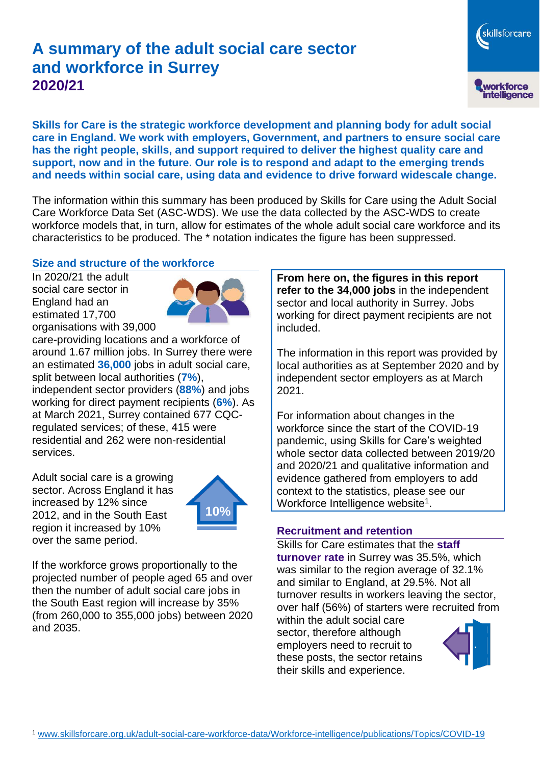# **A summary of the adult social care sector and workforce in Surrey 2020/21**

skillsforcare workforce<br>intelligence

**Skills for Care is the strategic workforce development and planning body for adult social care in England. We work with employers, Government, and partners to ensure social care has the right people, skills, and support required to deliver the highest quality care and support, now and in the future. Our role is to respond and adapt to the emerging trends and needs within social care, using data and evidence to drive forward widescale change.**

The information within this summary has been produced by Skills for Care using the Adult Social Care Workforce Data Set (ASC-WDS). We use the data collected by the ASC-WDS to create workforce models that, in turn, allow for estimates of the whole adult social care workforce and its characteristics to be produced. The \* notation indicates the figure has been suppressed.

#### **Size and structure of the workforce**

In 2020/21 the adult social care sector in England had an estimated 17,700 organisations with 39,000



care-providing locations and a workforce of around 1.67 million jobs. In Surrey there were an estimated **36,000** jobs in adult social care, split between local authorities (**7%**), independent sector providers (**88%**) and jobs working for direct payment recipients (**6%**). As at March 2021, Surrey contained 677 CQCregulated services; of these, 415 were residential and 262 were non-residential services.

Adult social care is a growing sector. Across England it has increased by 12% since 2012, and in the South East region it increased by 10% over the same period.



If the workforce grows proportionally to the projected number of people aged 65 and over then the number of adult social care jobs in the South East region will increase by 35% (from 260,000 to 355,000 jobs) between 2020 and 2035.

**From here on, the figures in this report refer to the 34,000 jobs** in the independent sector and local authority in Surrey. Jobs working for direct payment recipients are not included.

The information in this report was provided by local authorities as at September 2020 and by independent sector employers as at March 2021.

For information about changes in the workforce since the start of the COVID-19 pandemic, using Skills for Care's weighted whole sector data collected between 2019/20 and 2020/21 and qualitative information and evidence gathered from employers to add context to the statistics, please see our Workforce Intelligence website<sup>1</sup>.

#### **Recruitment and retention**

Skills for Care estimates that the **staff turnover rate** in Surrey was 35.5%, which was similar to the region average of 32.1% and similar to England, at 29.5%. Not all turnover results in workers leaving the sector, over half (56%) of starters were recruited from

within the adult social care sector, therefore although employers need to recruit to these posts, the sector retains their skills and experience.

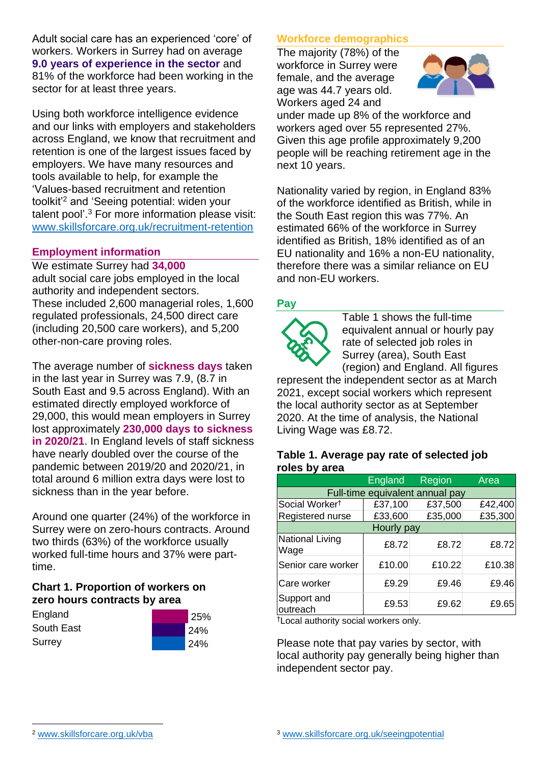Adult social care has an experienced 'core' of workers. Workers in Surrey had on average **9.0 years of experience in the sector** and 81% of the workforce had been working in the sector for at least three years.

Using both workforce intelligence evidence and our links with employers and stakeholders across England, we know that recruitment and retention is one of the largest issues faced by employers. We have many resources and tools available to help, for example the 'Values-based recruitment and retention toolkit'<sup>2</sup> and 'Seeing potential: widen your talent pool'. <sup>3</sup> For more information please visit: [www.skillsforcare.org.uk/recruitment-retention](http://www.skillsforcare.org.uk/recruitment-retention)

#### **Employment information**

We estimate Surrey had **34,000** adult social care jobs employed in the local authority and independent sectors. These included 2,600 managerial roles, 1,600 regulated professionals, 24,500 direct care (including 20,500 care workers), and 5,200 other-non-care proving roles.

The average number of **sickness days** taken in the last year in Surrey was 7.9, (8.7 in South East and 9.5 across England). With an estimated directly employed workforce of 29,000, this would mean employers in Surrey lost approximately **230,000 days to sickness in 2020/21**. In England levels of staff sickness have nearly doubled over the course of the pandemic between 2019/20 and 2020/21, in total around 6 million extra days were lost to sickness than in the year before.

Around one quarter (24%) of the workforce in Surrey were on zero-hours contracts. Around two thirds (63%) of the workforce usually worked full-time hours and 37% were parttime.

#### **Chart 1. Proportion of workers on zero hours contracts by area**

| England    | 25% |
|------------|-----|
| South East | 24% |
| Surrey     | 24% |

## **Workforce demographics**

The majority (78%) of the workforce in Surrey were female, and the average age was 44.7 years old. Workers aged 24 and



under made up 8% of the workforce and workers aged over 55 represented 27%. Given this age profile approximately 9,200 people will be reaching retirement age in the next 10 years.

Nationality varied by region, in England 83% of the workforce identified as British, while in the South East region this was 77%. An estimated 66% of the workforce in Surrey identified as British, 18% identified as of an EU nationality and 16% a non-EU nationality, therefore there was a similar reliance on EU and non-EU workers.

### **Pay**



Table 1 shows the full-time equivalent annual or hourly pay rate of selected job roles in Surrey (area), South East (region) and England. All figures

represent the independent sector as at March 2021, except social workers which represent the local authority sector as at September 2020. At the time of analysis, the National Living Wage was £8.72.

#### **Table 1. Average pay rate of selected job roles by area**

|                                 | <b>England</b> | Region  | Area    |
|---------------------------------|----------------|---------|---------|
| Full-time equivalent annual pay |                |         |         |
| Social Worker <sup>t</sup>      | £37,100        | £37,500 | £42,400 |
| Registered nurse                | £33,600        | £35,000 | £35,300 |
| Hourly pay                      |                |         |         |
| National Living<br>Wage         | £8.72          | £8.72   | £8.72   |
| Senior care worker              | £10.00         | £10.22  | £10.38  |
| Care worker                     | £9.29          | £9.46   | £9.46   |
| Support and<br>outreach         | £9.53          | £9.62   | £9.65   |

†Local authority social workers only.

Please note that pay varies by sector, with local authority pay generally being higher than independent sector pay.

[www.skillsforcare.org.uk/vba](http://www.skillsforcare.org.uk/vba)